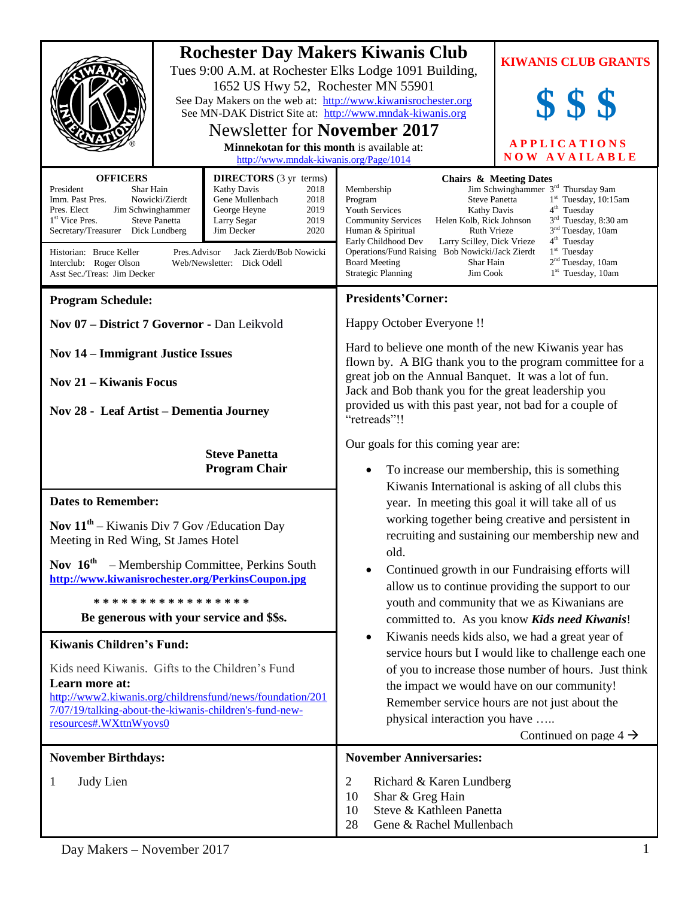|                                                                                                                                                                                                                                                                                                                                                                                                                                                                                                                                    | <b>Rochester Day Makers Kiwanis Club</b>                                                            | Tues 9:00 A.M. at Rochester Elks Lodge 1091 Building,                                                                                                                                                                                                                                                                                                                                                                            | <b>KIWANIS CLUB GRANTS</b>                                                                                                                                                                                                                                                                                                      |
|------------------------------------------------------------------------------------------------------------------------------------------------------------------------------------------------------------------------------------------------------------------------------------------------------------------------------------------------------------------------------------------------------------------------------------------------------------------------------------------------------------------------------------|-----------------------------------------------------------------------------------------------------|----------------------------------------------------------------------------------------------------------------------------------------------------------------------------------------------------------------------------------------------------------------------------------------------------------------------------------------------------------------------------------------------------------------------------------|---------------------------------------------------------------------------------------------------------------------------------------------------------------------------------------------------------------------------------------------------------------------------------------------------------------------------------|
|                                                                                                                                                                                                                                                                                                                                                                                                                                                                                                                                    | 1652 US Hwy 52, Rochester MN 55901<br>See Day Makers on the web at: http://www.kiwanisrochester.org |                                                                                                                                                                                                                                                                                                                                                                                                                                  |                                                                                                                                                                                                                                                                                                                                 |
|                                                                                                                                                                                                                                                                                                                                                                                                                                                                                                                                    | See MN-DAK District Site at: http://www.mndak-kiwanis.org                                           |                                                                                                                                                                                                                                                                                                                                                                                                                                  |                                                                                                                                                                                                                                                                                                                                 |
|                                                                                                                                                                                                                                                                                                                                                                                                                                                                                                                                    | <b>Newsletter for November 2017</b><br><b>Minnekotan for this month is available at:</b>            |                                                                                                                                                                                                                                                                                                                                                                                                                                  | <b>APPLICATIONS</b>                                                                                                                                                                                                                                                                                                             |
|                                                                                                                                                                                                                                                                                                                                                                                                                                                                                                                                    |                                                                                                     | <b>NOW AVAILABLE</b><br>http://www.mndak-kiwanis.org/Page/1014                                                                                                                                                                                                                                                                                                                                                                   |                                                                                                                                                                                                                                                                                                                                 |
| <b>OFFICERS</b><br><b>DIRECTORS</b> (3 yr terms)<br>President<br>Kathy Davis<br>Shar Hain<br>2018<br>Nowicki/Zierdt<br>Gene Mullenbach<br>2018<br>Imm. Past Pres.<br>2019<br>Pres. Elect<br>Jim Schwinghammer<br>George Heyne<br>2019<br>1 <sup>st</sup> Vice Pres.<br><b>Steve Panetta</b><br>Larry Segar<br>2020<br>Secretary/Treasurer Dick Lundberg<br>Jim Decker<br>Historian: Bruce Keller<br>Jack Zierdt/Bob Nowicki<br>Pres.Advisor<br>Interclub: Roger Olson<br>Web/Newsletter: Dick Odell<br>Asst Sec./Treas: Jim Decker |                                                                                                     | Membership<br>Program<br><b>Youth Services</b><br><b>Kathy Davis</b><br><b>Community Services</b><br>Helen Kolb, Rick Johnson<br>Ruth Vrieze<br>Human & Spiritual<br>Early Childhood Dev<br>Larry Scilley, Dick Vrieze<br>Operations/Fund Raising Bob Nowicki/Jack Zierdt<br><b>Board Meeting</b><br>Shar Hain<br><b>Strategic Planning</b><br>Jim Cook                                                                          | <b>Chairs &amp; Meeting Dates</b><br>Jim Schwinghammer 3 <sup>rd</sup> Thursday 9am<br><b>Steve Panetta</b><br>$1st$ Tuesday, 10:15am<br>4 <sup>th</sup> Tuesday<br>3 <sup>rd</sup> Tuesday, 8:30 am<br>3 <sup>nd</sup> Tuesday, 10am<br>$4th$ Tuesday<br>$1st$ Tuesday<br>2 <sup>nd</sup> Tuesday, 10am<br>$1st$ Tuesday, 10am |
| <b>Program Schedule:</b>                                                                                                                                                                                                                                                                                                                                                                                                                                                                                                           |                                                                                                     | <b>Presidents'Corner:</b>                                                                                                                                                                                                                                                                                                                                                                                                        |                                                                                                                                                                                                                                                                                                                                 |
| Nov 07 - District 7 Governor - Dan Leikvold                                                                                                                                                                                                                                                                                                                                                                                                                                                                                        |                                                                                                     | Happy October Everyone !!                                                                                                                                                                                                                                                                                                                                                                                                        |                                                                                                                                                                                                                                                                                                                                 |
| <b>Nov 14 – Immigrant Justice Issues</b>                                                                                                                                                                                                                                                                                                                                                                                                                                                                                           |                                                                                                     | Hard to believe one month of the new Kiwanis year has<br>flown by. A BIG thank you to the program committee for a<br>great job on the Annual Banquet. It was a lot of fun.<br>Jack and Bob thank you for the great leadership you<br>provided us with this past year, not bad for a couple of<br>"retreads"!!                                                                                                                    |                                                                                                                                                                                                                                                                                                                                 |
| <b>Nov 21 – Kiwanis Focus</b>                                                                                                                                                                                                                                                                                                                                                                                                                                                                                                      |                                                                                                     |                                                                                                                                                                                                                                                                                                                                                                                                                                  |                                                                                                                                                                                                                                                                                                                                 |
| Nov 28 - Leaf Artist - Dementia Journey                                                                                                                                                                                                                                                                                                                                                                                                                                                                                            |                                                                                                     |                                                                                                                                                                                                                                                                                                                                                                                                                                  |                                                                                                                                                                                                                                                                                                                                 |
| <b>Steve Panetta</b><br><b>Program Chair</b><br><b>Dates to Remember:</b>                                                                                                                                                                                                                                                                                                                                                                                                                                                          |                                                                                                     | Our goals for this coming year are:                                                                                                                                                                                                                                                                                                                                                                                              |                                                                                                                                                                                                                                                                                                                                 |
|                                                                                                                                                                                                                                                                                                                                                                                                                                                                                                                                    |                                                                                                     | To increase our membership, this is something                                                                                                                                                                                                                                                                                                                                                                                    |                                                                                                                                                                                                                                                                                                                                 |
|                                                                                                                                                                                                                                                                                                                                                                                                                                                                                                                                    |                                                                                                     | Kiwanis International is asking of all clubs this<br>year. In meeting this goal it will take all of us<br>working together being creative and persistent in<br>recruiting and sustaining our membership new and<br>old.<br>Continued growth in our Fundraising efforts will<br>allow us to continue providing the support to our<br>youth and community that we as Kiwanians are<br>committed to. As you know Kids need Kiwanis! |                                                                                                                                                                                                                                                                                                                                 |
|                                                                                                                                                                                                                                                                                                                                                                                                                                                                                                                                    |                                                                                                     |                                                                                                                                                                                                                                                                                                                                                                                                                                  |                                                                                                                                                                                                                                                                                                                                 |
| <b>Nov</b> $11^{th}$ – Kiwanis Div 7 Gov/Education Day<br>Meeting in Red Wing, St James Hotel                                                                                                                                                                                                                                                                                                                                                                                                                                      |                                                                                                     |                                                                                                                                                                                                                                                                                                                                                                                                                                  |                                                                                                                                                                                                                                                                                                                                 |
| Nov $16^{\text{th}}$<br>- Membership Committee, Perkins South<br>http://www.kiwanisrochester.org/PerkinsCoupon.jpg                                                                                                                                                                                                                                                                                                                                                                                                                 |                                                                                                     |                                                                                                                                                                                                                                                                                                                                                                                                                                  |                                                                                                                                                                                                                                                                                                                                 |
| *****************                                                                                                                                                                                                                                                                                                                                                                                                                                                                                                                  |                                                                                                     |                                                                                                                                                                                                                                                                                                                                                                                                                                  |                                                                                                                                                                                                                                                                                                                                 |
| Be generous with your service and \$\$s.                                                                                                                                                                                                                                                                                                                                                                                                                                                                                           |                                                                                                     |                                                                                                                                                                                                                                                                                                                                                                                                                                  |                                                                                                                                                                                                                                                                                                                                 |
| <b>Kiwanis Children's Fund:</b>                                                                                                                                                                                                                                                                                                                                                                                                                                                                                                    |                                                                                                     | Kiwanis needs kids also, we had a great year of<br>$\bullet$                                                                                                                                                                                                                                                                                                                                                                     |                                                                                                                                                                                                                                                                                                                                 |
| Kids need Kiwanis. Gifts to the Children's Fund                                                                                                                                                                                                                                                                                                                                                                                                                                                                                    |                                                                                                     | service hours but I would like to challenge each one<br>of you to increase those number of hours. Just think<br>the impact we would have on our community!<br>Remember service hours are not just about the                                                                                                                                                                                                                      |                                                                                                                                                                                                                                                                                                                                 |
| Learn more at:                                                                                                                                                                                                                                                                                                                                                                                                                                                                                                                     |                                                                                                     |                                                                                                                                                                                                                                                                                                                                                                                                                                  |                                                                                                                                                                                                                                                                                                                                 |
| http://www2.kiwanis.org/childrensfund/news/foundation/201<br>7/07/19/talking-about-the-kiwanis-children's-fund-new-<br>resources#.WXttnWyovs0                                                                                                                                                                                                                                                                                                                                                                                      |                                                                                                     |                                                                                                                                                                                                                                                                                                                                                                                                                                  |                                                                                                                                                                                                                                                                                                                                 |
|                                                                                                                                                                                                                                                                                                                                                                                                                                                                                                                                    |                                                                                                     | physical interaction you have                                                                                                                                                                                                                                                                                                                                                                                                    | Continued on page $4 \rightarrow$                                                                                                                                                                                                                                                                                               |
| <b>November Birthdays:</b>                                                                                                                                                                                                                                                                                                                                                                                                                                                                                                         |                                                                                                     | <b>November Anniversaries:</b>                                                                                                                                                                                                                                                                                                                                                                                                   |                                                                                                                                                                                                                                                                                                                                 |
|                                                                                                                                                                                                                                                                                                                                                                                                                                                                                                                                    |                                                                                                     |                                                                                                                                                                                                                                                                                                                                                                                                                                  |                                                                                                                                                                                                                                                                                                                                 |
| Judy Lien<br>1                                                                                                                                                                                                                                                                                                                                                                                                                                                                                                                     |                                                                                                     | $\overline{2}$<br>Richard & Karen Lundberg<br>10<br>Shar & Greg Hain                                                                                                                                                                                                                                                                                                                                                             |                                                                                                                                                                                                                                                                                                                                 |
|                                                                                                                                                                                                                                                                                                                                                                                                                                                                                                                                    |                                                                                                     | Steve & Kathleen Panetta<br>10<br>28<br>Gene & Rachel Mullenbach                                                                                                                                                                                                                                                                                                                                                                 |                                                                                                                                                                                                                                                                                                                                 |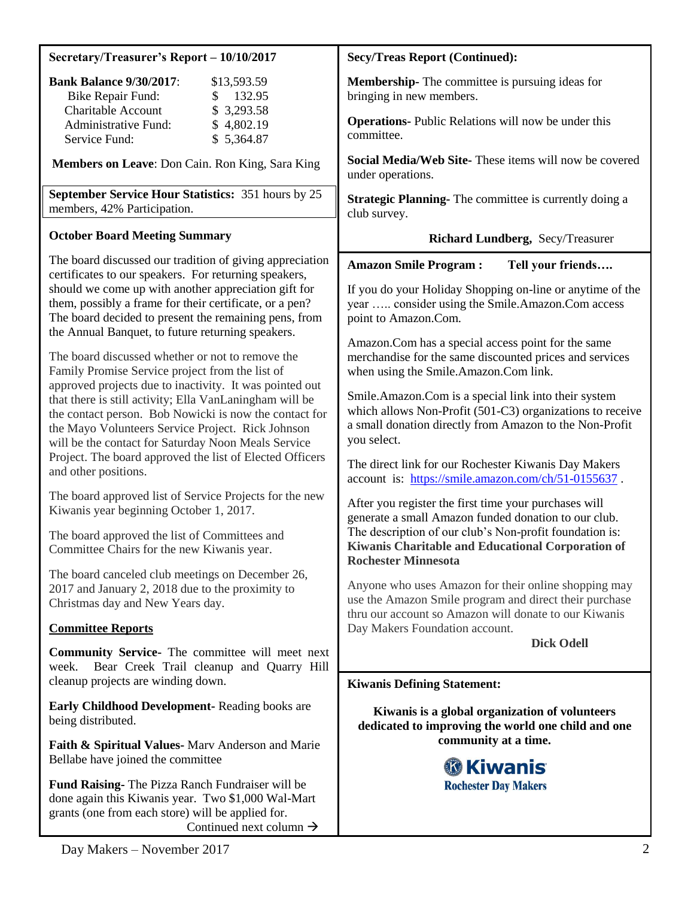| Secretary/Treasurer's Report - 10/10/2017                                                                                                                                                                                                                                                | <b>Secy/Treas Report (Continued):</b>                                                                                                                                                                                                                                                                                                                                                                                                                                                          |  |
|------------------------------------------------------------------------------------------------------------------------------------------------------------------------------------------------------------------------------------------------------------------------------------------|------------------------------------------------------------------------------------------------------------------------------------------------------------------------------------------------------------------------------------------------------------------------------------------------------------------------------------------------------------------------------------------------------------------------------------------------------------------------------------------------|--|
| <b>Bank Balance 9/30/2017:</b><br>\$13,593.59<br>132.95<br>Bike Repair Fund:<br>\$                                                                                                                                                                                                       | <b>Membership-</b> The committee is pursuing ideas for<br>bringing in new members.                                                                                                                                                                                                                                                                                                                                                                                                             |  |
| <b>Charitable Account</b><br>\$3,293.58<br>Administrative Fund:<br>\$4,802.19<br>\$5,364.87<br>Service Fund:                                                                                                                                                                             | <b>Operations-</b> Public Relations will now be under this<br>committee.                                                                                                                                                                                                                                                                                                                                                                                                                       |  |
| Members on Leave: Don Cain. Ron King, Sara King                                                                                                                                                                                                                                          | Social Media/Web Site-These items will now be covered<br>under operations.                                                                                                                                                                                                                                                                                                                                                                                                                     |  |
| September Service Hour Statistics: 351 hours by 25<br>members, 42% Participation.                                                                                                                                                                                                        | <b>Strategic Planning-</b> The committee is currently doing a<br>club survey.                                                                                                                                                                                                                                                                                                                                                                                                                  |  |
| <b>October Board Meeting Summary</b>                                                                                                                                                                                                                                                     | Richard Lundberg, Secy/Treasurer                                                                                                                                                                                                                                                                                                                                                                                                                                                               |  |
| The board discussed our tradition of giving appreciation<br>certificates to our speakers. For returning speakers,                                                                                                                                                                        | <b>Amazon Smile Program:</b><br>Tell your friends                                                                                                                                                                                                                                                                                                                                                                                                                                              |  |
| should we come up with another appreciation gift for<br>them, possibly a frame for their certificate, or a pen?<br>The board decided to present the remaining pens, from<br>the Annual Banquet, to future returning speakers.                                                            | If you do your Holiday Shopping on-line or anytime of the<br>year  consider using the Smile.Amazon.Com access<br>point to Amazon.Com.<br>Amazon.Com has a special access point for the same<br>merchandise for the same discounted prices and services<br>when using the Smile.Amazon.Com link.<br>Smile.Amazon.Com is a special link into their system<br>which allows Non-Profit (501-C3) organizations to receive<br>a small donation directly from Amazon to the Non-Profit<br>you select. |  |
| The board discussed whether or not to remove the<br>Family Promise Service project from the list of                                                                                                                                                                                      |                                                                                                                                                                                                                                                                                                                                                                                                                                                                                                |  |
| approved projects due to inactivity. It was pointed out<br>that there is still activity; Ella VanLaningham will be<br>the contact person. Bob Nowicki is now the contact for<br>the Mayo Volunteers Service Project. Rick Johnson<br>will be the contact for Saturday Noon Meals Service |                                                                                                                                                                                                                                                                                                                                                                                                                                                                                                |  |
| Project. The board approved the list of Elected Officers<br>and other positions.                                                                                                                                                                                                         | The direct link for our Rochester Kiwanis Day Makers<br>account is: https://smile.amazon.com/ch/51-0155637.                                                                                                                                                                                                                                                                                                                                                                                    |  |
| The board approved list of Service Projects for the new<br>Kiwanis year beginning October 1, 2017.                                                                                                                                                                                       | After you register the first time your purchases will<br>generate a small Amazon funded donation to our club.<br>The description of our club's Non-profit foundation is:<br>Kiwanis Charitable and Educational Corporation of<br><b>Rochester Minnesota</b>                                                                                                                                                                                                                                    |  |
| The board approved the list of Committees and<br>Committee Chairs for the new Kiwanis year.                                                                                                                                                                                              |                                                                                                                                                                                                                                                                                                                                                                                                                                                                                                |  |
| The board canceled club meetings on December 26,<br>2017 and January 2, 2018 due to the proximity to<br>Christmas day and New Years day.                                                                                                                                                 | Anyone who uses Amazon for their online shopping may<br>use the Amazon Smile program and direct their purchase<br>thru our account so Amazon will donate to our Kiwanis                                                                                                                                                                                                                                                                                                                        |  |
| <b>Committee Reports</b>                                                                                                                                                                                                                                                                 | Day Makers Foundation account.                                                                                                                                                                                                                                                                                                                                                                                                                                                                 |  |
| <b>Community Service-</b> The committee will meet next<br>Bear Creek Trail cleanup and Quarry Hill<br>week.<br>cleanup projects are winding down.                                                                                                                                        | <b>Dick Odell</b>                                                                                                                                                                                                                                                                                                                                                                                                                                                                              |  |
|                                                                                                                                                                                                                                                                                          | <b>Kiwanis Defining Statement:</b>                                                                                                                                                                                                                                                                                                                                                                                                                                                             |  |
| <b>Early Childhood Development-Reading books are</b><br>being distributed.                                                                                                                                                                                                               | Kiwanis is a global organization of volunteers<br>dedicated to improving the world one child and one                                                                                                                                                                                                                                                                                                                                                                                           |  |
| Faith & Spiritual Values-Mary Anderson and Marie<br>Bellabe have joined the committee                                                                                                                                                                                                    | community at a time.<br><b><sup>6</sup> Kiwanis</b>                                                                                                                                                                                                                                                                                                                                                                                                                                            |  |
| Fund Raising- The Pizza Ranch Fundraiser will be<br>done again this Kiwanis year. Two \$1,000 Wal-Mart<br>grants (one from each store) will be applied for.<br>Continued next column $\rightarrow$                                                                                       | <b>Rochester Day Makers</b>                                                                                                                                                                                                                                                                                                                                                                                                                                                                    |  |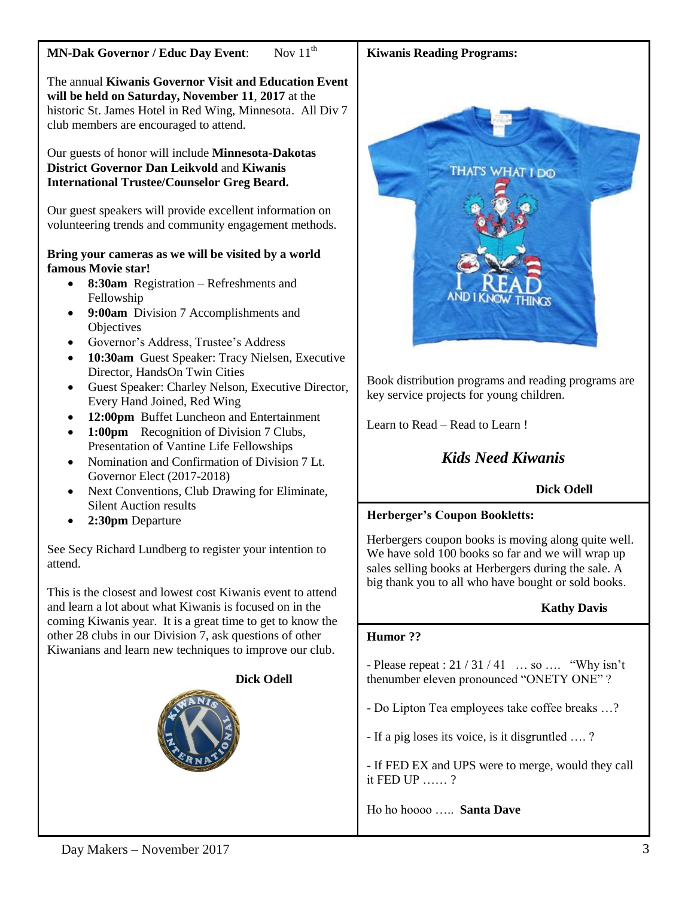# **MN-Dak Governor / Educ Day Event:** Nov 11<sup>th</sup>

The annual **Kiwanis Governor Visit and Education Event will be held on Saturday, November 11**, **2017** at the historic St. James Hotel in Red Wing, Minnesota. All Div 7 club members are encouraged to attend.

Our guests of honor will include **Minnesota-Dakotas District Governor Dan Leikvold** and **Kiwanis International Trustee/Counselor Greg Beard.** 

Our guest speakers will provide excellent information on volunteering trends and community engagement methods.

#### **Bring your cameras as we will be visited by a world famous Movie star!**

- **8:30am** Registration Refreshments and Fellowship
- **9:00am** Division 7 Accomplishments and **Objectives**
- Governor's Address, Trustee's Address
- **10:30am** Guest Speaker: Tracy Nielsen, Executive Director, HandsOn Twin Cities
- Guest Speaker: Charley Nelson, Executive Director, Every Hand Joined, Red Wing
- **12:00pm** Buffet Luncheon and Entertainment
- 1:00pm Recognition of Division 7 Clubs, Presentation of Vantine Life Fellowships
- Nomination and Confirmation of Division 7 Lt. Governor Elect (2017-2018)
- Next Conventions, Club Drawing for Eliminate, Silent Auction results
- **2:30pm** Departure

See Secy Richard Lundberg to register your intention to attend.

This is the closest and lowest cost Kiwanis event to attend and learn a lot about what Kiwanis is focused on in the coming Kiwanis year. It is a great time to get to know the other 28 clubs in our Division 7, ask questions of other Kiwanians and learn new techniques to improve our club.



# **Kiwanis Reading Programs:**



Book distribution programs and reading programs are key service projects for young children.

Learn to Read – Read to Learn !

# *Kids Need Kiwanis*

# **Dick Odell**

# **Herberger's Coupon Bookletts:**

Herbergers coupon books is moving along quite well. We have sold 100 books so far and we will wrap up sales selling books at Herbergers during the sale. A big thank you to all who have bought or sold books.

# **Kathy Davis**

#### **Humor ??**

- Please repeat :  $21 / 31 / 41$  ... so .... "Why isn't thenumber eleven pronounced "ONETY ONE" ?

- Do Lipton Tea employees take coffee breaks …?

- If a pig loses its voice, is it disgruntled …. ?
- If FED EX and UPS were to merge, would they call it FED UP …… ?

Ho ho hoooo ….. **Santa Dave**